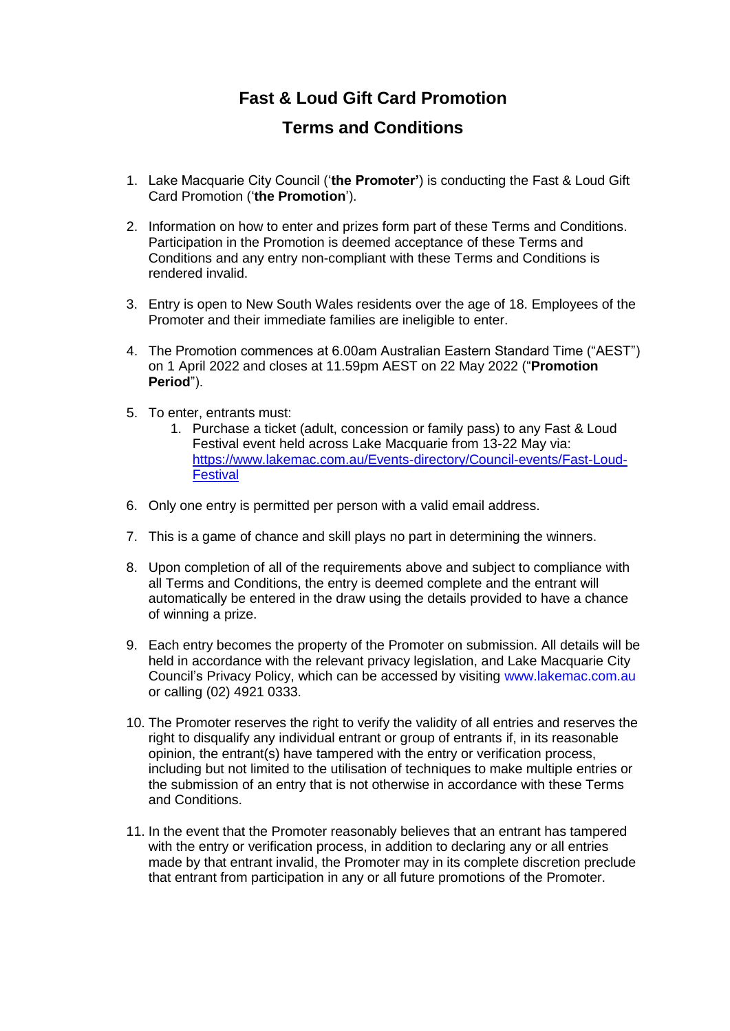## **Fast & Loud Gift Card Promotion**

## **Terms and Conditions**

- 1. Lake Macquarie City Council ('**the Promoter'**) is conducting the Fast & Loud Gift Card Promotion ('**the Promotion**').
- 2. Information on how to enter and prizes form part of these Terms and Conditions. Participation in the Promotion is deemed acceptance of these Terms and Conditions and any entry non-compliant with these Terms and Conditions is rendered invalid.
- 3. Entry is open to New South Wales residents over the age of 18. Employees of the Promoter and their immediate families are ineligible to enter.
- 4. The Promotion commences at 6.00am Australian Eastern Standard Time ("AEST") on 1 April 2022 and closes at 11.59pm AEST on 22 May 2022 ("**Promotion Period**").
- 5. To enter, entrants must:
	- 1. Purchase a ticket (adult, concession or family pass) to any Fast & Loud Festival event held across Lake Macquarie from 13-22 May via: [https://www.lakemac.com.au/Events-directory/Council-events/Fast-Loud-](https://www.lakemac.com.au/Events-directory/Council-events/Fast-Loud-Festival)**[Festival](https://www.lakemac.com.au/Events-directory/Council-events/Fast-Loud-Festival)**
- 6. Only one entry is permitted per person with a valid email address.
- 7. This is a game of chance and skill plays no part in determining the winners.
- 8. Upon completion of all of the requirements above and subject to compliance with all Terms and Conditions, the entry is deemed complete and the entrant will automatically be entered in the draw using the details provided to have a chance of winning a prize.
- 9. Each entry becomes the property of the Promoter on submission. All details will be held in accordance with the relevant privacy legislation, and Lake Macquarie City Council's Privacy Policy, which can be accessed by visiting www.lakemac.com.au or calling (02) 4921 0333.
- 10. The Promoter reserves the right to verify the validity of all entries and reserves the right to disqualify any individual entrant or group of entrants if, in its reasonable opinion, the entrant(s) have tampered with the entry or verification process, including but not limited to the utilisation of techniques to make multiple entries or the submission of an entry that is not otherwise in accordance with these Terms and Conditions.
- 11. In the event that the Promoter reasonably believes that an entrant has tampered with the entry or verification process, in addition to declaring any or all entries made by that entrant invalid, the Promoter may in its complete discretion preclude that entrant from participation in any or all future promotions of the Promoter.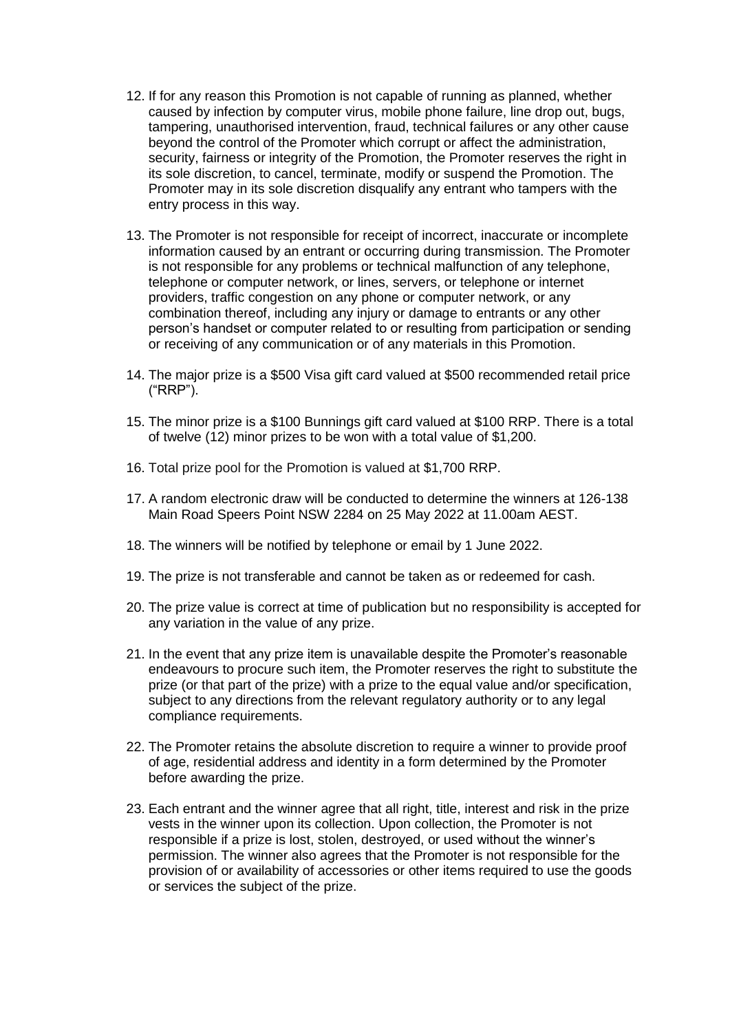- 12. If for any reason this Promotion is not capable of running as planned, whether caused by infection by computer virus, mobile phone failure, line drop out, bugs, tampering, unauthorised intervention, fraud, technical failures or any other cause beyond the control of the Promoter which corrupt or affect the administration, security, fairness or integrity of the Promotion, the Promoter reserves the right in its sole discretion, to cancel, terminate, modify or suspend the Promotion. The Promoter may in its sole discretion disqualify any entrant who tampers with the entry process in this way.
- 13. The Promoter is not responsible for receipt of incorrect, inaccurate or incomplete information caused by an entrant or occurring during transmission. The Promoter is not responsible for any problems or technical malfunction of any telephone, telephone or computer network, or lines, servers, or telephone or internet providers, traffic congestion on any phone or computer network, or any combination thereof, including any injury or damage to entrants or any other person's handset or computer related to or resulting from participation or sending or receiving of any communication or of any materials in this Promotion.
- 14. The major prize is a \$500 Visa gift card valued at \$500 recommended retail price ("RRP").
- 15. The minor prize is a \$100 Bunnings gift card valued at \$100 RRP. There is a total of twelve (12) minor prizes to be won with a total value of \$1,200.
- 16. Total prize pool for the Promotion is valued at \$1,700 RRP.
- 17. A random electronic draw will be conducted to determine the winners at 126-138 Main Road Speers Point NSW 2284 on 25 May 2022 at 11.00am AEST.
- 18. The winners will be notified by telephone or email by 1 June 2022.
- 19. The prize is not transferable and cannot be taken as or redeemed for cash.
- 20. The prize value is correct at time of publication but no responsibility is accepted for any variation in the value of any prize.
- 21. In the event that any prize item is unavailable despite the Promoter's reasonable endeavours to procure such item, the Promoter reserves the right to substitute the prize (or that part of the prize) with a prize to the equal value and/or specification, subject to any directions from the relevant regulatory authority or to any legal compliance requirements.
- 22. The Promoter retains the absolute discretion to require a winner to provide proof of age, residential address and identity in a form determined by the Promoter before awarding the prize.
- 23. Each entrant and the winner agree that all right, title, interest and risk in the prize vests in the winner upon its collection. Upon collection, the Promoter is not responsible if a prize is lost, stolen, destroyed, or used without the winner's permission. The winner also agrees that the Promoter is not responsible for the provision of or availability of accessories or other items required to use the goods or services the subject of the prize.